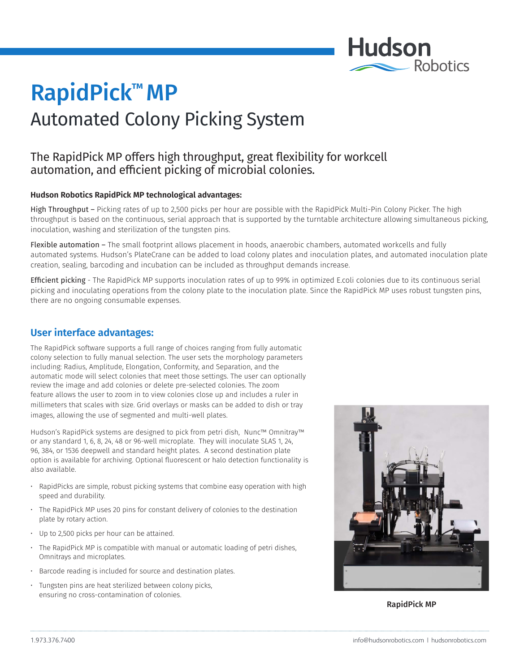

# RapidPick™ MP Automated Colony Picking System

## The RapidPick MP offers high throughput, great flexibility for workcell automation, and efficient picking of microbial colonies.

#### **Hudson Robotics RapidPick MP technological advantages:**

High Throughput – Picking rates of up to 2,500 picks per hour are possible with the RapidPick Multi-Pin Colony Picker. The high throughput is based on the continuous, serial approach that is supported by the turntable architecture allowing simultaneous picking, inoculation, washing and sterilization of the tungsten pins.

Flexible automation – The small footprint allows placement in hoods, anaerobic chambers, automated workcells and fully automated systems. Hudson's PlateCrane can be added to load colony plates and inoculation plates, and automated inoculation plate creation, sealing, barcoding and incubation can be included as throughput demands increase.

Efficient picking - The RapidPick MP supports inoculation rates of up to 99% in optimized E.coli colonies due to its continuous serial picking and inoculating operations from the colony plate to the inoculation plate. Since the RapidPick MP uses robust tungsten pins, there are no ongoing consumable expenses.

### **User interface advantages:**

The RapidPick software supports a full range of choices ranging from fully automatic colony selection to fully manual selection. The user sets the morphology parameters including: Radius, Amplitude, Elongation, Conformity, and Separation, and the automatic mode will select colonies that meet those settings. The user can optionally review the image and add colonies or delete pre-selected colonies. The zoom feature allows the user to zoom in to view colonies close up and includes a ruler in millimeters that scales with size. Grid overlays or masks can be added to dish or tray images, allowing the use of segmented and multi-well plates.

Hudson's RapidPick systems are designed to pick from petri dish, Nunc™ Omnitray™ or any standard 1, 6, 8, 24, 48 or 96-well microplate. They will inoculate SLAS 1, 24, 96, 384, or 1536 deepwell and standard height plates. A second destination plate option is available for archiving. Optional fluorescent or halo detection functionality is also available.

- RapidPicks are simple, robust picking systems that combine easy operation with high speed and durability.
- The RapidPick MP uses 20 pins for constant delivery of colonies to the destination plate by rotary action.
- Up to 2,500 picks per hour can be attained.
- The RapidPick MP is compatible with manual or automatic loading of petri dishes, Omnitrays and microplates.
- Barcode reading is included for source and destination plates.
- Tungsten pins are heat sterilized between colony picks, ensuring no cross-contamination of colonies.



RapidPick MP